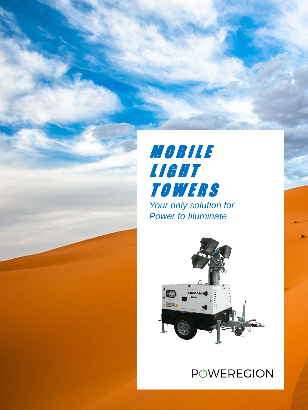

## **MOBILE** L I G H T **TOWERS** *Your only solution for Power to Illuminate*



## **POWEREGION**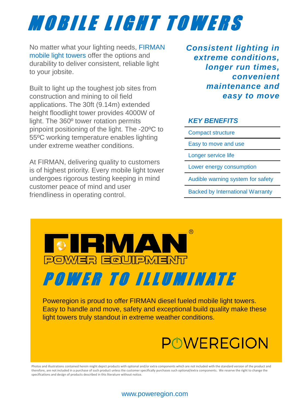# M O B I L E L I G H T T O W E R S

No matter what your lighting needs, FIRMAN mobile light towers offer the options and durability to deliver consistent, reliable light to your jobsite.

Built to light up the toughest job sites from construction and mining to oil field applications. The 30ft (9.14m) extended height floodlight tower provides 4000W of light. The 360º tower rotation permits pinpoint positioning of the light. The -20ºC to 55ºC working temperature enables lighting under extreme weather conditions.

At FIRMAN, delivering quality to customers is of highest priority. Every mobile light tower undergoes rigorous testing keeping in mind customer peace of mind and user friendliness in operating control.

*Consistent lighting in extreme conditions, longer run times, convenient maintenance and easy to move*

#### *KEY BENEFITS*

Compact structure Easy to move and use Longer service life Lower energy consumption Audible warning system for safety Backed by International Warranty



Poweregion is proud to offer FIRMAN diesel fueled mobile light towers. Easy to handle and move, safety and exceptional build quality make these light towers truly standout in extreme weather conditions.

## **POWEREGION**

Photos and illustrations contained herein might depict products with optional and/or extra components which are not included with the standard version of the product and therefore, are not included in a purchase of such product unless the customer specifically purchases such optional/extra components. We reserve the right to change the specifications and design of products described in this literature without notice.

#### www.poweregion.com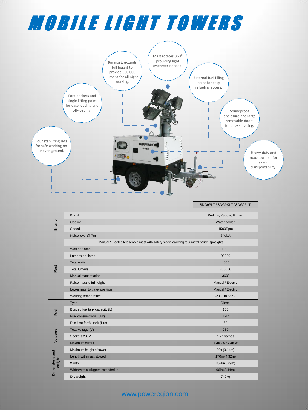# M O B I L E L I G H T T O W E R S



SDG9PLT / SDG9KLT / SDG9FLT

| Engine                   | <b>Brand</b>                                                                               | Perkins, Kubota, Firman |
|--------------------------|--------------------------------------------------------------------------------------------|-------------------------|
|                          | Cooling                                                                                    | Water cooled            |
|                          | Speed                                                                                      | 1500Rpm                 |
|                          | Noise level @ 7m                                                                           | 64dbA                   |
| Mast                     | Manual / Electric telescopic mast with safety block, carrying four metal halide spotlights |                         |
|                          | Watt per lamp                                                                              | 1000                    |
|                          | Lumens per lamp                                                                            | 90000                   |
|                          | <b>Total watts</b>                                                                         | 4000                    |
|                          | <b>Total lumens</b>                                                                        | 360000                  |
|                          | Manual mast rotation                                                                       | 360°                    |
|                          | Raise mast to full height                                                                  | Manual / Electric       |
|                          | Lower mast to travel position                                                              | Manual / Electric       |
|                          | Working temperature                                                                        | -20°C to 55°C           |
| Fuel                     | Type                                                                                       | <b>Diesel</b>           |
|                          | Bunded fuel tank capacity (L)                                                              | 100                     |
|                          | Fuel consumption (L/Hr)                                                                    | 1.47                    |
|                          | Run time for full tank (Hrs)                                                               | 68                      |
| Volatage                 | Total voltage (V)                                                                          | 230                     |
|                          | Sockets 230V                                                                               | 1 x 16amps              |
|                          | Maximum output                                                                             | 7.4KVA / 7.4KW          |
| Dimensions and<br>Weight | Maximum height of tower                                                                    | 30ft (9.14m)            |
|                          | Length with mast stowed                                                                    | 170in (4.32m)           |
|                          | Width                                                                                      | 35.4in (0.9m)           |
|                          | Width with outriggers extended in                                                          | 96in (2.44m)            |
|                          | Dry weight                                                                                 | 740 <sub>kg</sub>       |

#### www.poweregion.com